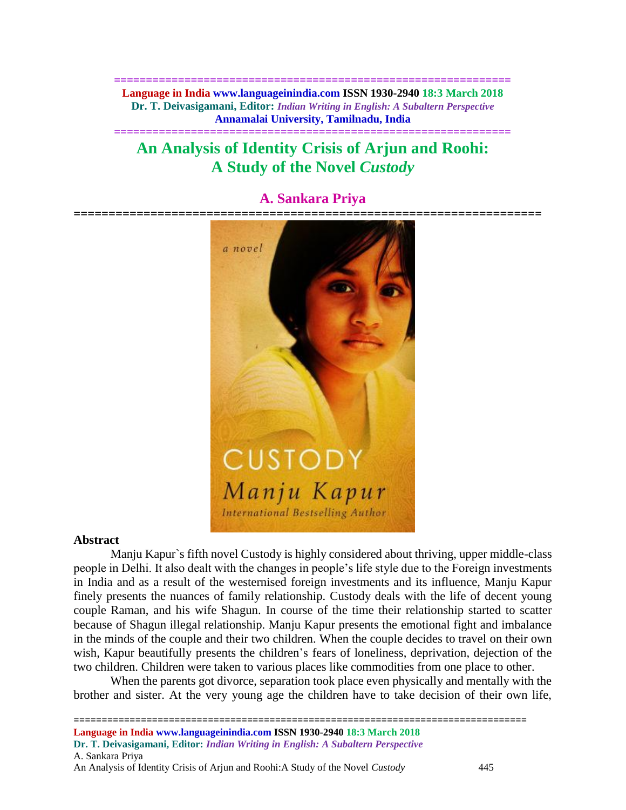**============================================================== Language in India www.languageinindia.com ISSN 1930-2940 18:3 March 2018 Dr. T. Deivasigamani, Editor:** *Indian Writing in English: A Subaltern Perspective* **Annamalai University, Tamilnadu, India**

**==============================================================**

## **An Analysis of Identity Crisis of Arjun and Roohi: A Study of the Novel** *Custody*

# **===================================================================** a novel **CUSTODY** Manju Kapur **International Bestselling Author**

### **A. Sankara Priya**

#### **Abstract**

Manju Kapur`s fifth novel Custody is highly considered about thriving, upper middle-class people in Delhi. It also dealt with the changes in people's life style due to the Foreign investments in India and as a result of the westernised foreign investments and its influence, Manju Kapur finely presents the nuances of family relationship. Custody deals with the life of decent young couple Raman, and his wife Shagun. In course of the time their relationship started to scatter because of Shagun illegal relationship. Manju Kapur presents the emotional fight and imbalance in the minds of the couple and their two children. When the couple decides to travel on their own wish, Kapur beautifully presents the children's fears of loneliness, deprivation, dejection of the two children. Children were taken to various places like commodities from one place to other.

When the parents got divorce, separation took place even physically and mentally with the brother and sister. At the very young age the children have to take decision of their own life,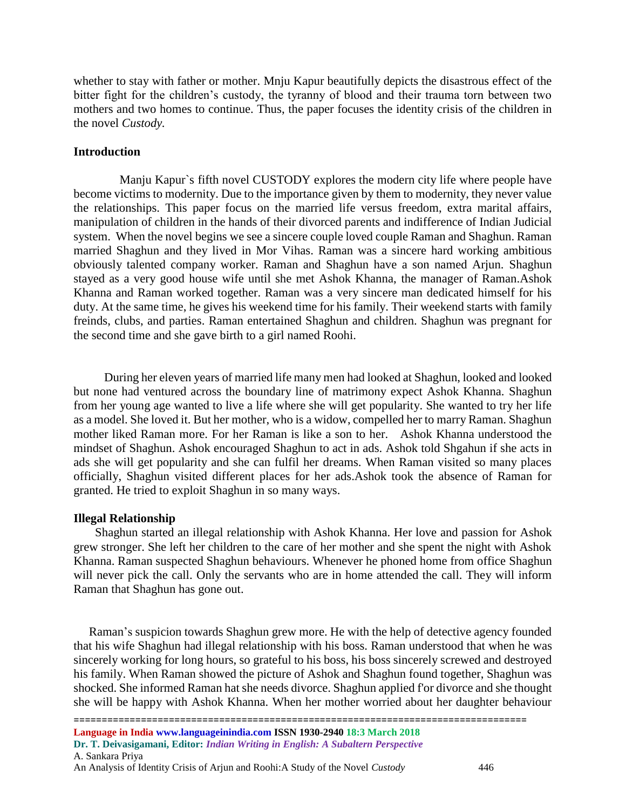whether to stay with father or mother. Mnju Kapur beautifully depicts the disastrous effect of the bitter fight for the children's custody, the tyranny of blood and their trauma torn between two mothers and two homes to continue. Thus, the paper focuses the identity crisis of the children in the novel *Custody.*

#### **Introduction**

 Manju Kapur`s fifth novel CUSTODY explores the modern city life where people have become victims to modernity. Due to the importance given by them to modernity, they never value the relationships. This paper focus on the married life versus freedom, extra marital affairs, manipulation of children in the hands of their divorced parents and indifference of Indian Judicial system. When the novel begins we see a sincere couple loved couple Raman and Shaghun. Raman married Shaghun and they lived in Mor Vihas. Raman was a sincere hard working ambitious obviously talented company worker. Raman and Shaghun have a son named Arjun. Shaghun stayed as a very good house wife until she met Ashok Khanna, the manager of Raman.Ashok Khanna and Raman worked together. Raman was a very sincere man dedicated himself for his duty. At the same time, he gives his weekend time for his family. Their weekend starts with family freinds, clubs, and parties. Raman entertained Shaghun and children. Shaghun was pregnant for the second time and she gave birth to a girl named Roohi.

 During her eleven years of married life many men had looked at Shaghun, looked and looked but none had ventured across the boundary line of matrimony expect Ashok Khanna. Shaghun from her young age wanted to live a life where she will get popularity. She wanted to try her life as a model. She loved it. But her mother, who is a widow, compelled her to marry Raman. Shaghun mother liked Raman more. For her Raman is like a son to her. Ashok Khanna understood the mindset of Shaghun. Ashok encouraged Shaghun to act in ads. Ashok told Shgahun if she acts in ads she will get popularity and she can fulfil her dreams. When Raman visited so many places officially, Shaghun visited different places for her ads.Ashok took the absence of Raman for granted. He tried to exploit Shaghun in so many ways.

#### **Illegal Relationship**

 Shaghun started an illegal relationship with Ashok Khanna. Her love and passion for Ashok grew stronger. She left her children to the care of her mother and she spent the night with Ashok Khanna. Raman suspected Shaghun behaviours. Whenever he phoned home from office Shaghun will never pick the call. Only the servants who are in home attended the call. They will inform Raman that Shaghun has gone out.

 Raman's suspicion towards Shaghun grew more. He with the help of detective agency founded that his wife Shaghun had illegal relationship with his boss. Raman understood that when he was sincerely working for long hours, so grateful to his boss, his boss sincerely screwed and destroyed his family. When Raman showed the picture of Ashok and Shaghun found together, Shaghun was shocked. She informed Raman hat she needs divorce. Shaghun applied f'or divorce and she thought she will be happy with Ashok Khanna. When her mother worried about her daughter behaviour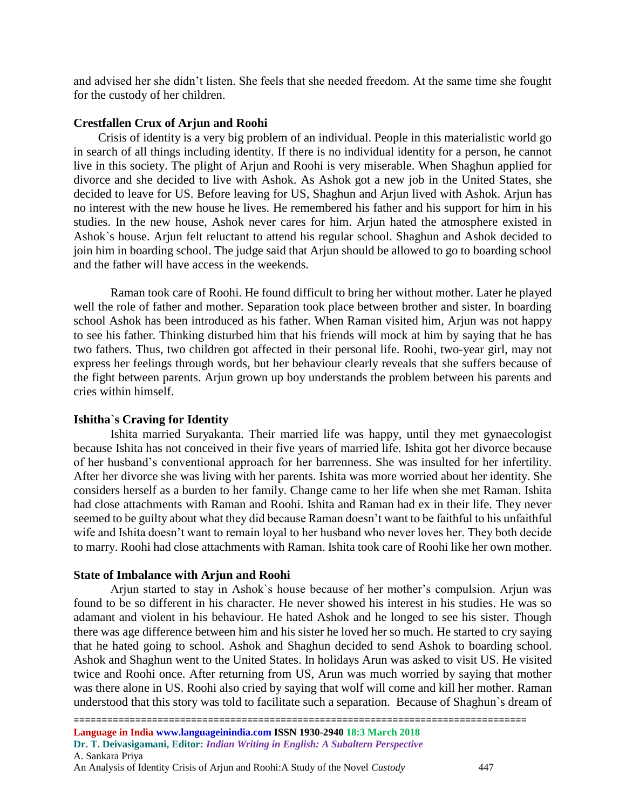and advised her she didn't listen. She feels that she needed freedom. At the same time she fought for the custody of her children.

#### **Crestfallen Crux of Arjun and Roohi**

 Crisis of identity is a very big problem of an individual. People in this materialistic world go in search of all things including identity. If there is no individual identity for a person, he cannot live in this society. The plight of Arjun and Roohi is very miserable. When Shaghun applied for divorce and she decided to live with Ashok. As Ashok got a new job in the United States, she decided to leave for US. Before leaving for US, Shaghun and Arjun lived with Ashok. Arjun has no interest with the new house he lives. He remembered his father and his support for him in his studies. In the new house, Ashok never cares for him. Arjun hated the atmosphere existed in Ashok`s house. Arjun felt reluctant to attend his regular school. Shaghun and Ashok decided to join him in boarding school. The judge said that Arjun should be allowed to go to boarding school and the father will have access in the weekends.

Raman took care of Roohi. He found difficult to bring her without mother. Later he played well the role of father and mother. Separation took place between brother and sister. In boarding school Ashok has been introduced as his father. When Raman visited him, Arjun was not happy to see his father. Thinking disturbed him that his friends will mock at him by saying that he has two fathers. Thus, two children got affected in their personal life. Roohi, two-year girl, may not express her feelings through words, but her behaviour clearly reveals that she suffers because of the fight between parents. Arjun grown up boy understands the problem between his parents and cries within himself.

#### **Ishitha`s Craving for Identity**

 Ishita married Suryakanta. Their married life was happy, until they met gynaecologist because Ishita has not conceived in their five years of married life. Ishita got her divorce because of her husband's conventional approach for her barrenness. She was insulted for her infertility. After her divorce she was living with her parents. Ishita was more worried about her identity. She considers herself as a burden to her family. Change came to her life when she met Raman. Ishita had close attachments with Raman and Roohi. Ishita and Raman had ex in their life. They never seemed to be guilty about what they did because Raman doesn't want to be faithful to his unfaithful wife and Ishita doesn't want to remain loyal to her husband who never loves her. They both decide to marry. Roohi had close attachments with Raman. Ishita took care of Roohi like her own mother.

#### **State of Imbalance with Arjun and Roohi**

Arjun started to stay in Ashok`s house because of her mother's compulsion. Arjun was found to be so different in his character. He never showed his interest in his studies. He was so adamant and violent in his behaviour. He hated Ashok and he longed to see his sister. Though there was age difference between him and his sister he loved her so much. He started to cry saying that he hated going to school. Ashok and Shaghun decided to send Ashok to boarding school. Ashok and Shaghun went to the United States. In holidays Arun was asked to visit US. He visited twice and Roohi once. After returning from US, Arun was much worried by saying that mother was there alone in US. Roohi also cried by saying that wolf will come and kill her mother. Raman understood that this story was told to facilitate such a separation. Because of Shaghun`s dream of

An Analysis of Identity Crisis of Arjun and Roohi:A Study of the Novel *Custody* 447